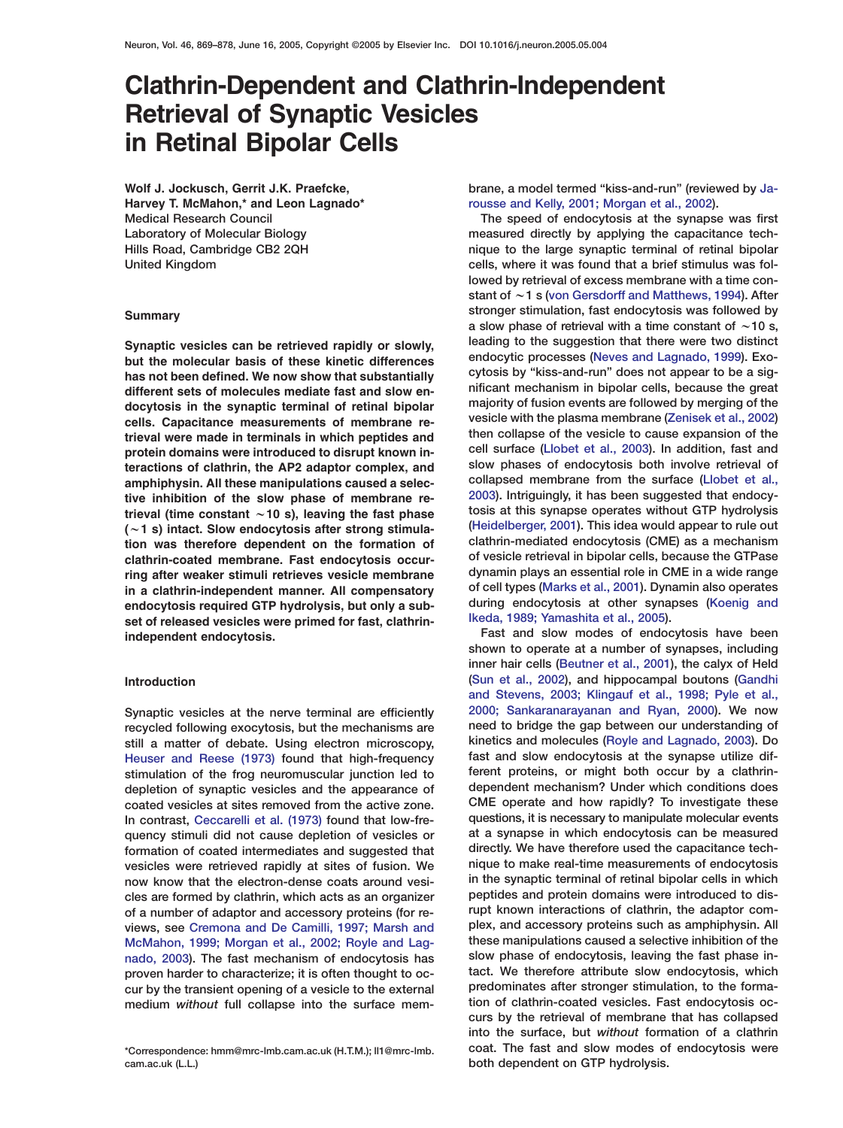# **Clathrin-Dependent and Clathrin-Independent Retrieval of Synaptic Vesicles in Retinal Bipolar Cells**

**Medical Research Council The speed of endocytosis at the synapse was first**

amphiphysin. All these manipulations caused a selec-<br>tive inhibition of the slow phase of membrane re-<br>2003). Intriguingly, it has been suggested that endocy**endocytosis required GTP hydrolysis, but only a sub- during endocytosis at other syna**<br>set of released vesicles were primed for fast, clathrin- **Reda, 1989; Yamashita et al., 2005**). set of released vesicles were primed for fast, clathrin**independent endocytosis. Fast and slow modes of endocytosis have been**

depletion of synaptic vesicles and the appearance of **McMahon, [1999; Morgan et al., 2002; Royle and Lag](#page-8-0) [proven hard](#page-8-0)er to characterize; it is often thought to oc-**

**cam.ac.uk (L.L.) both dependent on GTP hydrolysis.**

**Wolf J. Jockusch, Gerrit J.K. Praefcke, brane, a model termed "kiss-and-run" (reviewed by [Ja-](#page-8-0)Harvey T. McMahon,\* and Leon Lagnado\* [rousse and Kelly, 2001; Morgan et al., 2002](#page-8-0)).**

**Laboratory of Molecular Biology measured directly by applying the capacitance tech-Hills Road, Cambridge CB2 2QH nique to the large synaptic terminal of retinal bipolar United Kingdom cells, where it was found that a brief stimulus was followed by retrieval of excess membrane with a time constant of** w**1s[\(von Gersdorff and Matthews, 1994\)](#page-9-0). After stronger stimulation, fast endocytosis was followed by**<br>**a slow phase of retrieval with a time constant of**  $\sim$ 10 s, Synaptic vesicles can be retrieved rapidly or slowly,<br>but the molecular basis of these kinetic differences<br>has not hope policy in the substantially cytosis by "kiss-and-run" does not appear to be a sig-<br>cytosis by "kiss-an has not been defined. We now show that substantially<br>different sets of molecules mediate fast and slow en-<br>different sets of molecules mediate fast and slow en-<br>majority of fusion events are followed by merging of the<br>majo docytosis in the synaptic terminal of retinal bipolar majority of fusion events are followed by merging of the<br>cells. Capacitance measurements of membrane re-<br>trieval were made in terminals in which pentides and then colla trieval were made in terminals in which peptides and<br>**then collapse of the vesicle to cause expansion of the**<br>cell surface (Llobet et al., 2003). In addition, fast and **protein domains were introduced to disrupt known in- cell surface [\(Llobet et al., 2003\)](#page-8-0). In addition, fast and s** teractions of clathrin, the AP2 adaptor complex, and slow phases of endocytosis both involve retrieval of annumental steps of endocytosis both involve retrieval of annumental of  $\epsilon$ *[2003](#page-8-0)***). Intriguingly, it has been suggested that endocy-<br>
<b>trieval (time constant ~10 s), leaving the fast phase**<br> **bosis at this synapse operates without GTP hydrolysis** trieval (time constant ~10 s), leaving the fast phase tosis at this synapse operates without GTP hydrolysis<br>(~1 s) intact, Slow endocytosis after strong stimula-<br>(Heidelberger, 2001). This idea would appear to rule out (~1 s) intact. Slow endocytosis after strong stimula-<br> **[\(Heidelberger, 2001\)](#page-8-0)**. This idea would appear to rule out<br>
clathrin-mediated endocytosis (CME) as a mechanism **tion was therefore dependent on the formation of clathrin-mediated endocytosis (CME) as a mechanism of vesicle retrieval in bipolar cells, because the GTPase clathrin-coated membrane. Fast endocytosis occurdynamin plays an essential role in CME in a wide range ring after weaker stimuli retrieves vesicle membrane of cell types [\(Marks et al., 2001\)](#page-8-0). Dynamin also operates in a clathrin-independent manner. All compensatory**

**shown to operate at a number of synapses, including inner hair cells [\(Beutner et al., 2001\)](#page-8-0), the calyx of Held [\(Sun et al., 2002\)](#page-9-0), and hippocampal boutons [\(Gandhi](#page-8-0) Introduction [and Stevens, 2003; Klingauf et al., 1998; Pyle et al.,](#page-8-0) Synaptic vesicles at the nerve terminal are efficiently** [2000; Sankaranarayanan and Ryan, 2000](#page-8-0)). We now recycled following exocytosis but the mechanisms are **need to bridge the gap between our understanding of need to bridge the gap between our understanding of**<br>**recycled following exocytosis, but the mechanisms are** and the bridge the gap between our understanding of still **still a matter of debate. Using electron microscopy, kinetics and molecules [\(Royle and Lagnado, 2003\)](#page-9-0). Do** Heuser and Reese (1973) found that high-frequency fast and slow endocytosis at the synapse utilize dif-<br>**Found that high-frequency** fast and slow endocytosis at the synapse utilize dif-<br>**found that the synapse is a conduct [stimulation of the frog neu](#page-8-0)romuscular junction led to ferent proteins, or might both occur by a clathrincoated vesicles at sites removed from the active zone. CME operate and how rapidly? To investigate these In contrast, Ceccarelli et al. (1973) found that low-fre- questions, it is necessary to manipulate molecular events quency sti[muli did not cause depl](#page-8-0)etion of vesicles or at a synapse in which endocytosis can be measured directly. We have therefore used the capacitance tech- formation of coated intermediates and suggested that vesicles were retrieved rapidly at sites of fusion. We nique to make real-time measurements of endocytosis now know that the electron-dense coats around vesi- in the synaptic terminal of retinal bipolar cells in which cles are formed by clathrin, which acts as an organizer peptides and protein domains were introduced to disof a number of adaptor and accessory proteins (for re- rupt known interactions of clathrin, the adaptor comviews, see Cremona and De Camilli, 1997; Marsh and plex, and accessory proteins such as amphiphysin. All** nado, 2003[\). The fast mechanism of endocytosis has](#page-8-0) slow phase of endocytosis, leaving the fast phase in-<br>
proven harder to characterize: it is often thought to oc-<br>
tact. We therefore attribute slow endocytosis, which **cur by the transient opening of a vesicle to the external predominates after stronger stimulation, to the forma**medium without full collapse into the surface mem-<br> **tion of clathrin-coated vesicles. Fast endocytosis occurs by the retrieval of membrane that has collapsed into the surface, but** *without* **formation of a clathrin \*Correspondence: hmm@mrc-lmb.cam.ac.uk (H.T.M.); ll1@mrc-lmb. coat. The fast and slow modes of endocytosis were**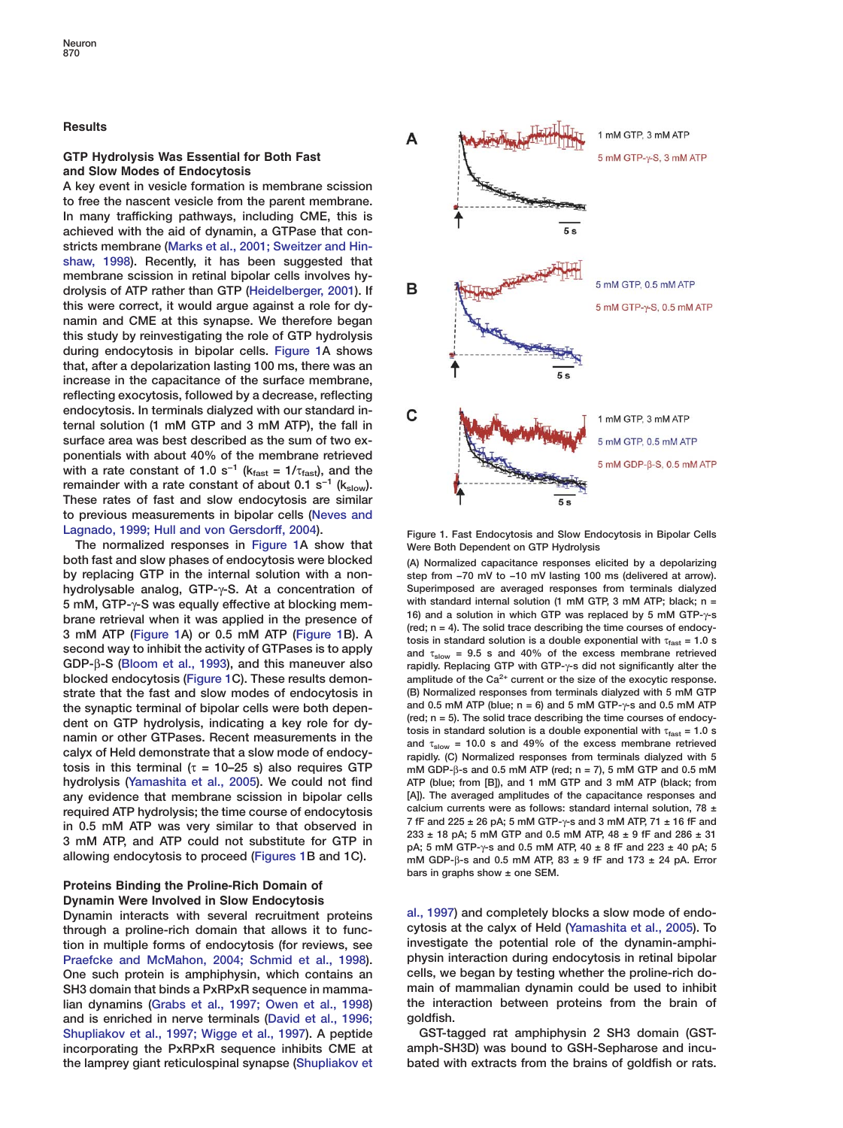### <span id="page-1-0"></span>**Results**

# **GTP Hydrolysis Was Essential for Both Fast and Slow Modes of Endocytosis**

**A key event in vesicle formation is membrane scission to free the nascent vesicle from the parent membrane. In many trafficking pathways, including CME, this is achieved with the aid of dynamin, a GTPase that constricts membrane [\(Marks et al., 2001; Sweitzer and Hin](#page-8-0)[shaw, 1998\)](#page-8-0). Recently, it has been suggested that membrane scission in retinal bipolar cells involves hydrolysis of ATP rather than GTP [\(Heidelberger, 2001\)](#page-8-0). If this were correct, it would argue against a role for dynamin and CME at this synapse. We therefore began this study by reinvestigating the role of GTP hydrolysis during endocytosis in bipolar cells. Figure 1A shows that, after a depolarization lasting 100 ms, there was an increase in the capacitance of the surface membrane, reflecting exocytosis, followed by a decrease, reflecting endocytosis. In terminals dialyzed with our standard internal solution (1 mM GTP and 3 mM ATP), the fall in surface area was best described as the sum of two exponentials with about 40% of the membrane retrieved** with a rate constant of 1.0 s<sup>-1</sup> ( $k_{\text{fast}} = 1/\tau_{\text{fast}}$ ), and the **remainder with a rate constant of about 0.1 s<sup>−1</sup> (kslow). These rates of fast and slow endocytosis are similar to previous measurements in bipolar cells [\(Neves and](#page-9-0) [Lagnado, 1999; Hull and von Gersdorff, 2004\)](#page-9-0).**

**The normalized responses in Figure 1A show that both fast and slow phases of endocytosis were blocked** (A) Normalized capacitance responses elicited by a depolarizing by a depolarizing by replacing GTP in the internal solution with a non-<br>by replacing GTP in the intern **hydrolysable analog, GTP-**γ**-S. At a concentration of Superimposed are averaged responses from terminals dialyzed** 5 mM, GTP- $\gamma$ -S was equally effective at blocking mem-<br>brane retrieval when it was applied in the presence of<br>3 mM ATP (Figure 1A) or 0.5 mM ATP (Figure 1B). A<br>second way to inhibit the activity of GTPases is to apply<br>an **second way to inhibit the activity of GTPases is to apply GDP-β-S (Bloom et al., 1993), and this maneuver also blocked endocytosis (Figure 1C). These results demon-** amplitude of the Ca<sup>2+</sup> current or the size of the exocytic response.<br> **strate that the fast and slow modes of endocytosis in** (B) Normalized responses from terminals **strate that the fast and slow modes of endocytosis in** (B) Normalized responses from terminals dialyzed with 5 mM GTP<br>the synaptic terminal of bipolar cells were both depen- and 0.5 mM ATP (blue; n = 6) and 5 mM GTP- $\gamma$ the synaptic terminal of bipolar cells were both depen-<br>dent on GTP hydrolysis, indicating a key role for dy-<br>namin or other GTPases. Recent measurements in the<br>calyx of Held demonstrate that a slow mode of endocy-<br>ranidl **tosis in this terminal (**τ **= 10–25 s) also requires GTP mM GDP-**β**-s and 0.5 mM ATP (red; n = 7), 5 mM GTP and 0.5 mM hydrolysis [\(Yamashita et al., 2005\)](#page-9-0). We could not find ATP (blue; from [B]), and 1 mM GTP and 3 mM ATP (black; from any evidence that membrane scission in bipolar cells [A]). The averaged amplitudes of the capacitance responses and**

# **Proteins Binding the Proline-Rich Domain of Dynamin Were Involved in Slow Endocytosis**

**through a proline-rich domain that allows it to func- cytosis at the calyx of Held [\(Yamashita et al., 2005\)](#page-9-0). To tion in multiple forms of endocytosis (for reviews, see investigate the potential role of the dynamin-amphi-[Praefcke and McMahon, 2004; Schmid et al., 1998\)](#page-9-0). One such protein is amphiphysin, which contains an cells, we began by testing whether the proline-rich do-SH3 domain that binds a PxRPxR sequence in mamma- main of mammalian dynamin could be used to inhibit lian dynamins** [\(Grabs et al., 1997; Owen et al., 1998\)](#page-8-0) **and is enriched in nerve terminals [\(David et al., 1996;](#page-8-0) goldfish. [Shupliakov et al., 1997; Wigge et al., 1997\)](#page-8-0). A peptide GST-tagged rat amphiphysin 2 SH3 domain (GSTincorporating the PxRPxR sequence inhibits CME at amph-SH3D) was bound to GSH-Sepharose and incuthe lamprey giant reticulospinal synapse [\(Shupliakov et](#page-9-0) bated with extracts from the brains of goldfish or rats.**



**Figure 1. Fast Endocytosis and Slow Endocytosis in Bipolar Cells Were Both Dependent on GTP Hydrolysis**

step from -70 mV to -10 mV lasting 100 ms (delivered at arrow). **GDP-**β**-S [\(Bloom et al., 1993\)](#page-8-0), and this maneuver also rapidly. Replacing GTP with GTP-**γ**-s did not significantly alter the** rapidly. (C) Normalized responses from terminals dialyzed with 5 required ATP hydrolysis; the time course of endocytosis<br>in 0.5 mM ATP was very similar to that observed in<br>3 mM ATP, and ATP could not substitute for GTP in<br>3 mM ATP, and ATP could not substitute for GTP in<br>allowing endoc **bars in graphs show ± one SEM.**

**Dynamin interacts with several recruitment proteins [al., 1997](#page-9-0)) and completely blocks a slow mode of endo-**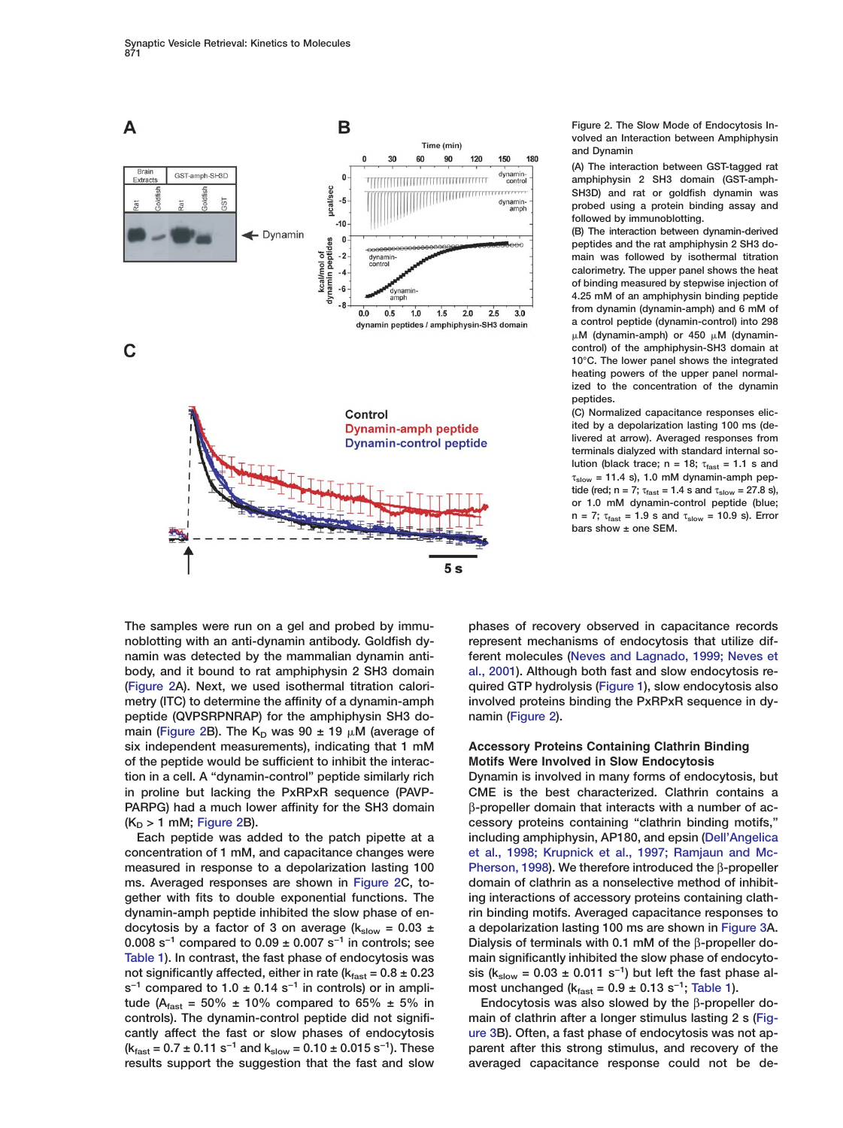<span id="page-2-0"></span>

**peptide (QVPSRPNRAP) for the amphiphysin SH3 do- namin (Figure 2). main (Figure 2B). The K<sub>D</sub> was 90**  $\pm$  **19**  $\mu$ **M (average of six independent measurements), indicating that 1 mM Accessory Proteins Containing Clathrin Binding of the peptide would be sufficient to inhibit the interac- Motifs Were Involved in Slow Endocytosis**

**concentration of 1 mM, and capacitance changes were [et al., 1998; Krupnick et al., 1997; Ramjaun and Mc](#page-8-0)** $s^{-1}$  compared to 1.0 ± 0.14 s<sup>-1</sup> in controls) or in ampli-<br>tude (A<sub>fast</sub> = 50% ± 10% compared to 65% ± 5% in<br>Endocytosis was also slowed by the β-propeller do**tude (A<sub>fast</sub> = 50% ± 10% compared to 65% ± 5% in controls). The dynamin-control peptide did not significantly affect the fast or slow phases of endocytosis [ure 3B](#page-3-0)). Often, a fast phase of endocytosis was not ap** results support the suggestion that the fast and slow

**Figure 2. The Slow Mode of Endocytosis Involved an Interaction between Amphiphysin and Dynamin**

**(A) The interaction between GST-tagged rat amphiphysin 2 SH3 domain (GST-amph-SH3D) and rat or goldfish dynamin was probed using a protein binding assay and followed by immunoblotting.**

**(B) The interaction between dynamin-derived peptides and the rat amphiphysin 2 SH3 domain was followed by isothermal titration calorimetry. The upper panel shows the heat of binding measured by stepwise injection of 4.25 mM of an amphiphysin binding peptide from dynamin (dynamin-amph) and 6 mM of a control peptide (dynamin-control) into 298** μ.Μ (dynamin-amph) or 450 μ.Μ (dynamin**control) of the amphiphysin-SH3 domain at 10°C. The lower panel shows the integrated heating powers of the upper panel normalized to the concentration of the dynamin peptides.**

**(C) Normalized capacitance responses elicited by a depolarization lasting 100 ms (delivered at arrow). Averaged responses from terminals dialyzed with standard internal solution (black trace; n = 18;**  $\tau_{\text{fast}}$  = 1.1 s and  $\tau_{slow}$  = 11.4 s), 1.0 mM dynamin-amph pep**tide (red; n = 7;**  $\tau_{\text{fast}} = 1.4$  **s** and  $\tau_{\text{slow}} = 27.8$  **s**), **or 1.0 mM dynamin-control peptide (blue; n = 7;** τ**fast = 1.9 s and** τ**slow = 10.9 s). Error bars show ± one SEM.**

**The samples were run on a gel and probed by immu- phases of recovery observed in capacitance records noblotting with an anti-dynamin antibody. Goldfish dy- represent mechanisms of endocytosis that utilize difnamin was detected by the mammalian dynamin anti- ferent molecules [\(Neves and Lagnado, 1999; Neves et](#page-9-0) body, and it bound to rat amphiphysin 2 SH3 domain [al., 2001\)](#page-9-0). Although both fast and slow endocytosis re- (Figure 2A). Next, we used isothermal titration calori- quired GTP hydrolysis [\(Figure 1\)](#page-1-0), slow endocytosis also metry (ITC) to determine the affinity of a dynamin-amph involved proteins binding the PxRPxR sequence in dy-**

**tion in a cell. A "dynamin-control" peptide similarly rich Dynamin is involved in many forms of endocytosis, but in proline but lacking the PxRPxR sequence (PAVP- CME is the best characterized. Clathrin contains a PARPG) had a much lower affinity for the SH3 domain** β**-propeller domain that interacts with a number of ac-** (K<sub>D</sub> > 1 mM; Figure 2B). *Cessory proteins containing "clathrin binding motifs,"* **Each peptide was added to the patch pipette at a including amphiphysin, AP180, and epsin [\(Dell'Angelica](#page-8-0) measured in response to a depolarization lasting 100 [Pherson, 1998\)](#page-8-0). We therefore introduced the** β**-propeller ms. Averaged responses are shown in Figure 2C, to- domain of clathrin as a nonselective method of inhibit**gether with fits to double exponential functions. The ing interactions of accessory proteins containing clath**dynamin-amph peptide inhibited the slow phase of en- rin binding motifs. Averaged capacitance responses to** docytosis by a factor of 3 on average  $(k_{slow} = 0.03 \pm 1.03)$  a depolarization lasting 100 ms are shown in [Figure 3](#page-3-0)A. **0.008 s Dialysis of terminals with 0.1 mM of the** β**-propeller do- −1 compared to 0.09 ± 0.007 s−1 in controls; see [Table 1](#page-3-0)). In contrast, the fast phase of endocytosis was main significantly inhibited the slow phase of endocyto**not significantly affected, either in rate ( $k_{\text{fast}} = 0.8 \pm 0.23$  sis ( $k_{\text{slow}} = 0.03 \pm 0.011$  s<sup>-1</sup>) but left the fast phase al-

main of clathrin after a longer stimulus lasting 2 s [\(Fig-](#page-3-0)**(kfast = 0.7 ± 0.11 s−1 and kslow = 0.10 ± 0.015 s−1). These parent after this strong stimulus, and recovery of the**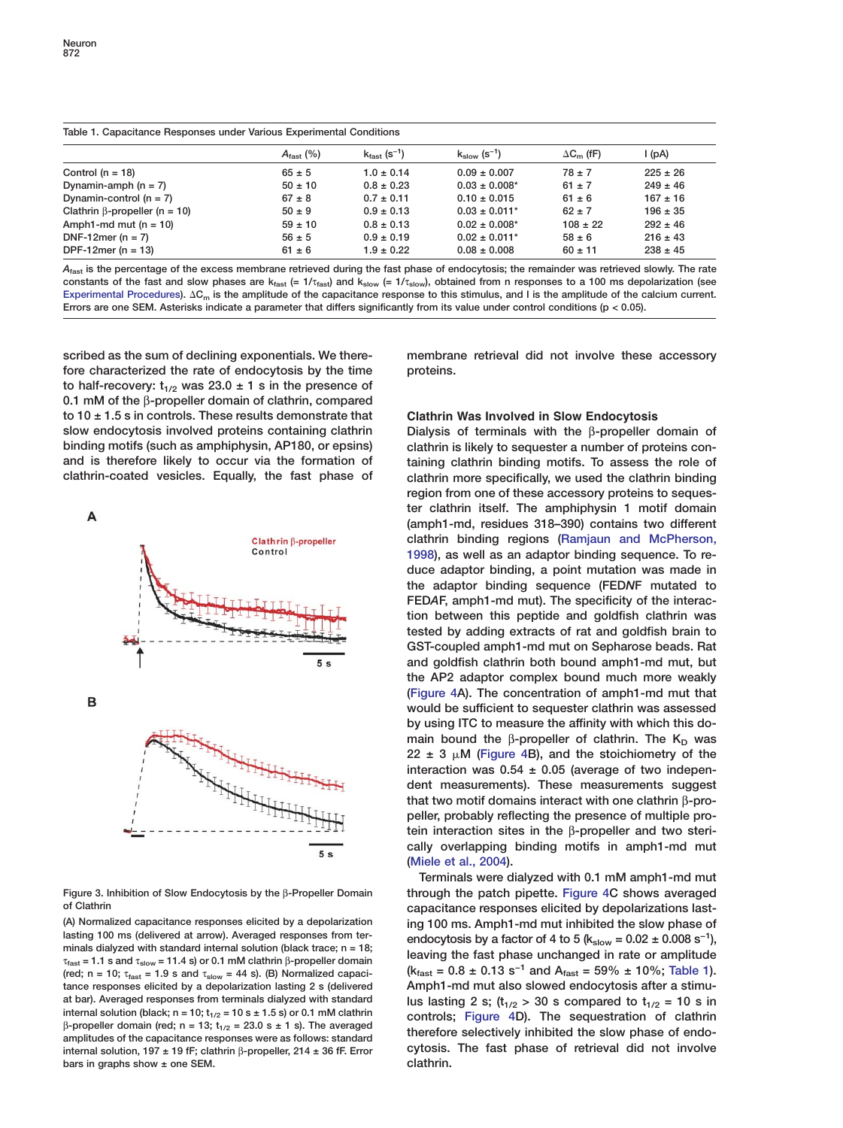<span id="page-3-0"></span>

| Table 1. Capacitance Responses under Various Experimental Conditions |                       |                                      |                               |                   |              |
|----------------------------------------------------------------------|-----------------------|--------------------------------------|-------------------------------|-------------------|--------------|
|                                                                      | $A_{\text{fast}}$ (%) | $k_{\text{fast}}$ (s <sup>-1</sup> ) | $k_{slow}$ (s <sup>-1</sup> ) | $\Delta C_m$ (fF) | l (pA)       |
| Control ( $n = 18$ )                                                 | $65 \pm 5$            | $1.0 \pm 0.14$                       | $0.09 \pm 0.007$              | $78 \pm 7$        | $225 \pm 26$ |
| Dynamin-amph $(n = 7)$                                               | $50 \pm 10$           | $0.8 \pm 0.23$                       | $0.03 \pm 0.008$ *            | $61 \pm 7$        | $249 \pm 46$ |
| Dynamin-control $(n = 7)$                                            | $67 \pm 8$            | $0.7 \pm 0.11$                       | $0.10 \pm 0.015$              | $61 \pm 6$        | $167 \pm 16$ |
| Clathrin $\beta$ -propeller (n = 10)                                 | $50 \pm 9$            | $0.9 \pm 0.13$                       | $0.03 \pm 0.011$ <sup>*</sup> | $62 \pm 7$        | $196 \pm 35$ |
| Amph1-md mut $(n = 10)$                                              | $59 \pm 10$           | $0.8 \pm 0.13$                       | $0.02 \pm 0.008^*$            | $108 \pm 22$      | $292 \pm 46$ |
| DNF-12mer ( $n = 7$ )                                                | $56 \pm 5$            | $0.9 \pm 0.19$                       | $0.02 \pm 0.011$ *            | $58 \pm 6$        | $216 \pm 43$ |
| DPF-12mer ( $n = 13$ )                                               | $61 \pm 6$            | $1.9 \pm 0.22$                       | $0.08 \pm 0.008$              | $60 \pm 11$       | $238 \pm 45$ |

*A***fast is the percentage of the excess membrane retrieved during the fast phase of endocytosis; the remainder was retrieved slowly. The rate constants of the fast and slow phases are kfast (= 1/**τ**fast) and kslow (= 1/**τ**slow), obtained from n responses to a 100 ms depolarization (see** Experimental Procedures).  $\Delta C_m$  is the amplitude of the capacitance response to this stimulus, and I is the amplitude of the calcium current. **Errors are one SEM. Asterisks indicate a parameter that differs significantly from its value under control conditions (p < 0.05).**

**scribed as the sum of declining exponentials. We there- membrane retrieval did not involve these accessory fore characterized the rate of endocytosis by the time proteins.** to half-recovery:  $t_{1/2}$  was 23.0  $\pm$  1 s in the presence of **0.1 mM of the** β**-propeller domain of clathrin, compared to 10 ± 1.5 s in controls. These results demonstrate that Clathrin Was Involved in Slow Endocytosis slow endocytosis involved proteins containing clathrin Dialysis of terminals with the** β**-propeller domain of binding motifs (such as amphiphysin, AP180, or epsins) clathrin is likely to sequester a number of proteins conand is therefore likely to occur via the formation of taining clathrin binding motifs. To assess the role of**



**tance responses elicited by a depolarization lasting 2 s (delivered Amph1-md mut also slowed endocytosis after a stimuinternal solution, 197 ± 19 fF; clathrin** β**-propeller, 214 ± 36 fF. Error cytosis. The fast phase of retrieval did not involve** bars in graphs show  $\pm$  one SEM.

**clathrin-coated vesicles. Equally, the fast phase of clathrin more specifically, we used the clathrin binding region from one of these accessory proteins to sequester clathrin itself. The amphiphysin 1 motif domain (amph1-md, residues 318–390) contains two different clathrin binding regions [\(Ramjaun and McPherson,](#page-9-0) [1998](#page-9-0)), as well as an adaptor binding sequence. To reduce adaptor binding, a point mutation was made in the adaptor binding sequence (FED***N***F mutated to FED***A***F, amph1-md mut). The specificity of the interaction between this peptide and goldfish clathrin was tested by adding extracts of rat and goldfish brain to GST-coupled amph1-md mut on Sepharose beads. Rat and goldfish clathrin both bound amph1-md mut, but the AP2 adaptor complex bound much more weakly [\(Figure 4A](#page-4-0)). The concentration of amph1-md mut that would be sufficient to sequester clathrin was assessed by using ITC to measure the affinity with which this domain bound the β-propeller of clathrin. The K<sub>D</sub> was** 22  $\pm$  3  $\mu$ M [\(Figure 4B](#page-4-0)), and the stoichiometry of the **interaction was 0.54 ± 0.05 (average of two independent measurements). These measurements suggest that two motif domains interact with one clathrin** β**-propeller, probably reflecting the presence of multiple protein interaction sites in the** β**-propeller and two sterically overlapping binding motifs in amph1-md mut [\(Miele et al., 2004\)](#page-8-0).**

**Terminals were dialyzed with 0.1 mM amph1-md mut Figure 3. Inhibition of Slow Endocytosis by the** β**-Propeller Domain through the patch pipette. [Figure 4C](#page-4-0) shows averaged of Clathrin capacitance responses elicited by depolarizations last- (A) Normalized capacitance responses elicited by a depolarization ing 100 ms. Amph1-md mut inhibited the slow phase of** lasting 100 ms (delivered at arrow). Averaged responses from ter-<br>minals dialyzed with standard internal solution (black trace; n = 18;<br> $\tau_{\text{fast}}$  = 1.1 s and  $\tau_{\text{slow}}$  = 11.4 s) or 0.1 mM clathrin  $\beta$ -propeller domain<br>  $(k_{\text{fast}} = 0.8 \pm 0.13 \text{ s}^{-1}$  and  $A_{\text{fast}} = 59\% \pm 10\%;$  Table 1). at bar). Averaged responses from terminals dialyzed with standard<br>internal solution (black;  $n = 10$ ;  $t_{1/2} = 10$  s  $\pm 1.5$  s) or 0.1 mM clathrin<br>controls: Figure 4D) The sequestration of clathrin internal solution (black;  $n = 10$ ;  $t_{1/2} = 10$  s  $\pm 1.5$  s) or 0.1 mM clathrin<br>  $\beta$ -propeller domain (red;  $n = 13$ ;  $t_{1/2} = 23.0$  s  $\pm 1$  s). The averaged<br>
amplitudes of the capacitance responses were as follows: sta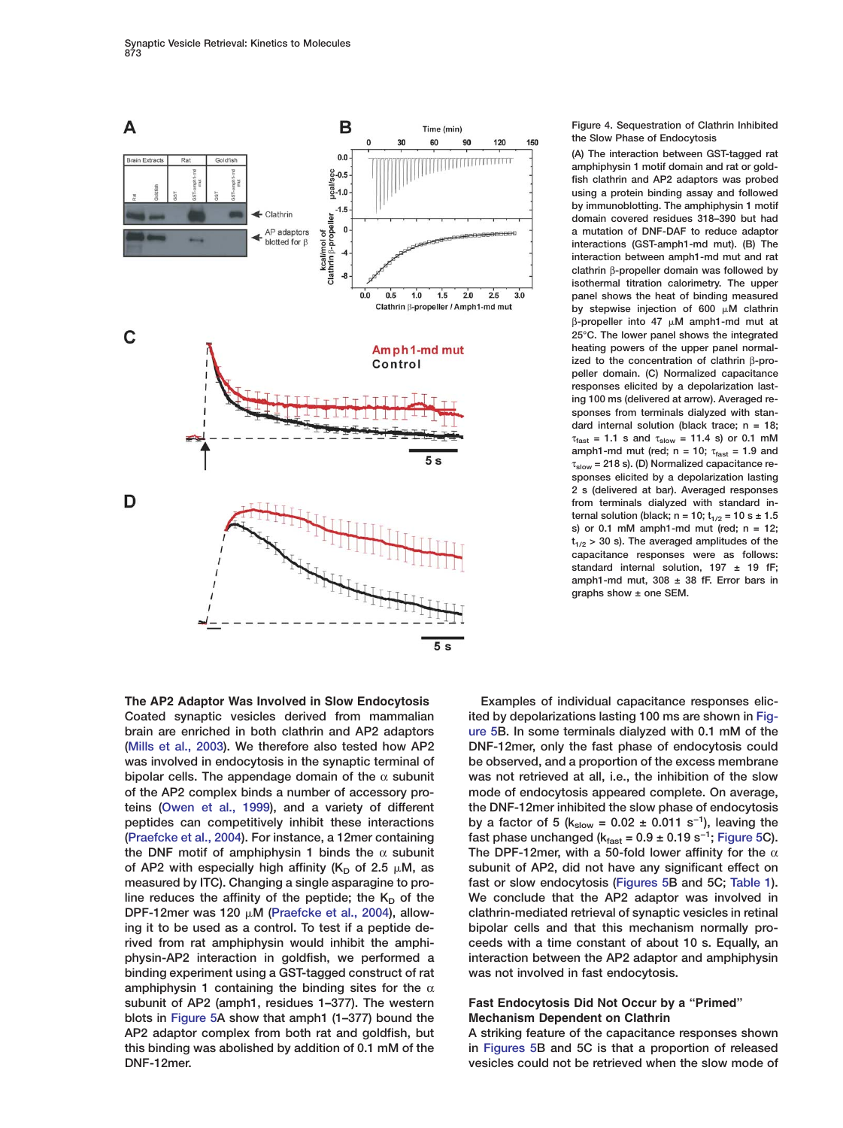<span id="page-4-0"></span>

**[\(Mills et al., 2003](#page-9-0)). We therefore also tested how AP2 DNF-12mer, only the fast phase of endocytosis could was involved in endocytosis in the synaptic terminal of be observed, and a proportion of the excess membrane bipolar cells. The appendage domain of the** α **subunit was not retrieved at all, i.e., the inhibition of the slow of the AP2 complex binds a number of accessory pro- mode of endocytosis appeared complete. On average, teins [\(Owen et al., 1999\)](#page-9-0), and a variety of different the DNF-12mer inhibited the slow phase of endocytosis peptides can competitively inhibit these interactions** by a factor of 5 (k<sub>slow</sub> = 0.02 ± 0.011 s<sup>−1</sup>), leaving the **fast phase unchanged (kfast = 0.9 ± 0.19 s−1 [\(Praefcke et al., 2004\)](#page-9-0). For instance, a 12mer containing ; [Figure 5C](#page-5-0)). the DNF motif of amphiphysin 1 binds the** α **subunit The DPF-12mer, with a 50-fold lower affinity for the** α **measured by ITC). Changing a single asparagine to pro- fast or slow endocytosis [\(Figures 5B](#page-5-0) and 5C; [Table 1\)](#page-3-0). ing it to be used as a control. To test if a peptide de- bipolar cells and that this mechanism normally probinding experiment using a GST-tagged construct of rat was not involved in fast endocytosis. amphiphysin 1 containing the binding sites for the** α **subunit of AP2 (amph1, residues 1–377). The western Fast Endocytosis Did Not Occur by a "Primed" blots in [Figure 5A](#page-5-0) show that amph1 (1–377) bound the Mechanism Dependent on Clathrin AP2 adaptor complex from both rat and goldfish, but A striking feature of the capacitance responses shown this binding was abolished by addition of 0.1 mM of the in [Figures 5B](#page-5-0) and 5C is that a proportion of released**

### **Figure 4. Sequestration of Clathrin Inhibited the Slow Phase of Endocytosis**

**(A) The interaction between GST-tagged rat amphiphysin 1 motif domain and rat or goldfish clathrin and AP2 adaptors was probed using a protein binding assay and followed by immunoblotting. The amphiphysin 1 motif domain covered residues 318–390 but had a mutation of DNF-DAF to reduce adaptor interactions (GST-amph1-md mut). (B) The interaction between amph1-md mut and rat clathrin** β**-propeller domain was followed by isothermal titration calorimetry. The upper panel shows the heat of binding measured** by stepwise injection of 600  $\mu$ M clathrin β**-propeller into 47 M amph1-md mut at 25°C. The lower panel shows the integrated heating powers of the upper panel normalized to the concentration of clathrin** β**-propeller domain. (C) Normalized capacitance responses elicited by a depolarization lasting 100 ms (delivered at arrow). Averaged responses from terminals dialyzed with standard internal solution (black trace; n = 18;**  $\tau_{\text{fast}} = 1.1$  s and  $\tau_{\text{slow}} = 11.4$  s) or 0.1 mM **amph1-md mut (red; n = 10;**  $\tau_{\text{fast}}$  = 1.9 and τ**slow = 218 s). (D) Normalized capacitance responses elicited by a depolarization lasting 2 s (delivered at bar). Averaged responses from terminals dialyzed with standard internal solution (black; n = 10;**  $t_{1/2}$  **= 10 s ± 1.5 s) or 0.1 mM amph1-md mut (red; n = 12; t1/2 > 30 s). The averaged amplitudes of the capacitance responses were as follows: standard internal solution, 197 ± 19 fF; amph1-md mut, 308 ± 38 fF. Error bars in graphs show ± one SEM.**

**The AP2 Adaptor Was Involved in Slow Endocytosis Examples of individual capacitance responses elic-Coated synaptic vesicles derived from mammalian ited by depolarizations lasting 100 ms are shown in [Fig](#page-5-0)brain are enriched in both clathrin and AP2 adaptors [ure 5B](#page-5-0). In some terminals dialyzed with 0.1 mM of the** of AP2 with especially high affinity  $(K_D \text{ of } 2.5 \mu M)$ , as subunit of AP2, did not have any significant effect on line reduces the affinity of the peptide; the  $K<sub>D</sub>$  of the We conclude that the AP2 adaptor was involved in **DPF-12mer was 120 M [\(Praefcke et al., 2004\)](#page-9-0), allow- clathrin-mediated retrieval of synaptic vesicles in retinal rived from rat amphiphysin would inhibit the amphi- ceeds with a time constant of about 10 s. Equally, an physin-AP2 interaction in goldfish, we performed a interaction between the AP2 adaptor and amphiphysin**

**DNF-12mer. vesicles could not be retrieved when the slow mode of**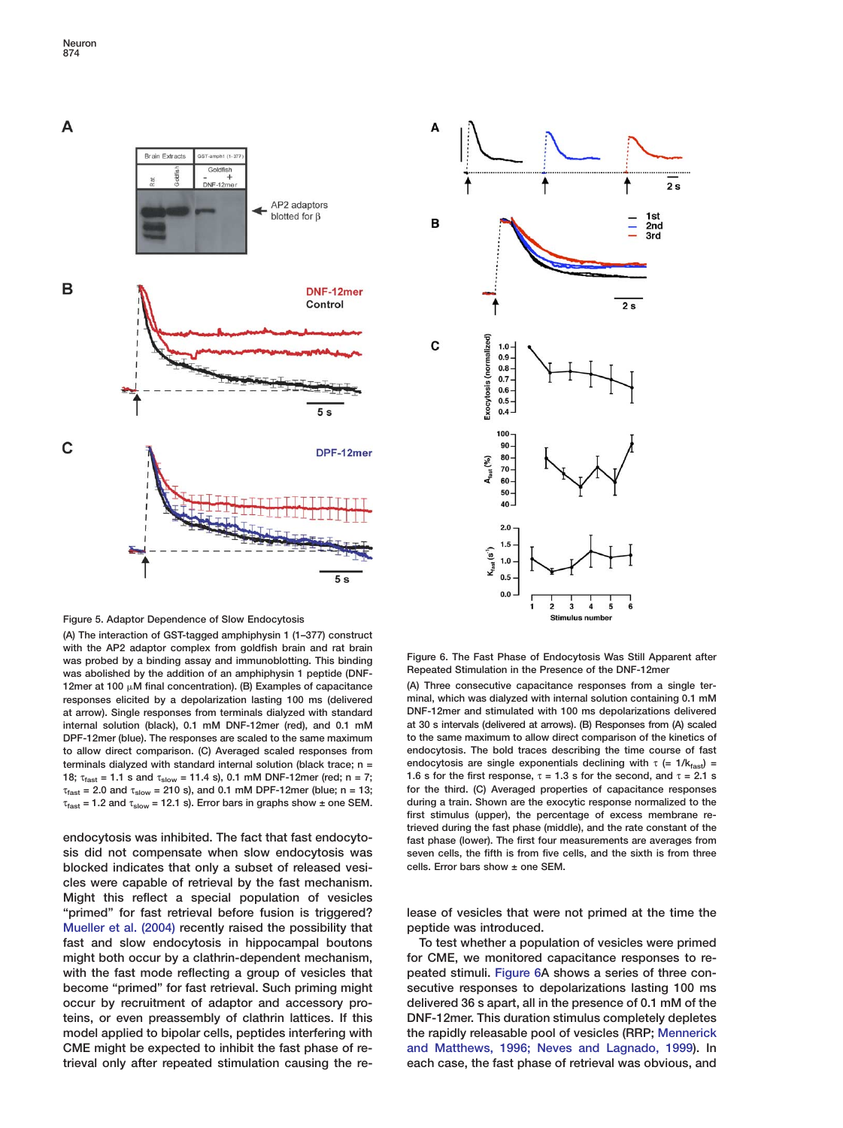<span id="page-5-0"></span>



**Figure 5. Adaptor Dependence of Slow Endocytosis**

**(A) The interaction of GST-tagged amphiphysin 1 (1–377) construct with the AP2 adaptor complex from goldfish brain and rat brain** was probed by a binding assay and immunoblotting. This binding **Figure 6. The Fast Phase of Endocytosis Was Still Apparent after**<br>was pholiched by the addition of an amphiphycin 1 pontide (DNE Repeated Stimulation in the P was abolished by the addition of an amphiphysin 1 peptide (DNF-12mer at 100 µM final concentration). (B) Examples of capacitance (A) Three consecutive capacitance responses from a single ter**at arrow). Single responses from terminals dialyzed with standard DNF-12mer and stimulated with 100 ms depolarizations delivered** τ **for the third. (C) Averaged properties of capacitance responses fast = 2.0 and** τ**slow = 210 s), and 0.1 mM DPF-12mer (blue; n = 13;**

**blocked indicates that only a subset of released vesi- cells. Error bars show ± one SEM. cles were capable of retrieval by the fast mechanism. Might this reflect a special population of vesicles "primed" for fast retrieval before fusion is triggered? lease of vesicles that were not primed at the time the [Mueller et al. \(2004\)](#page-9-0) recently raised the possibility that peptide was introduced. fast and slow endocytosis in hippocampal boutons To test whether a population of vesicles were primed might both occur by a clathrin-dependent mechanism, for CME, we monitored capacitance responses to re**with the fast mode reflecting a group of vesicles that peated stimuli. Figure 6A shows a series of three con**become "primed" for fast retrieval. Such priming might secutive responses to depolarizations lasting 100 ms occur by recruitment of adaptor and accessory pro- delivered 36 s apart, all in the presence of 0.1 mM of the teins, or even preassembly of clathrin lattices. If this DNF-12mer. This duration stimulus completely depletes model applied to bipolar cells, peptides interfering with the rapidly releasable pool of vesicles (RRP; [Mennerick](#page-8-0) CME might be expected to inhibit the fast phase of re- [and Matthews, 1996; Neves and Lagnado, 1999\)](#page-8-0). In**

**responses elicited by a depolarization lasting 100 ms (delivered minal, which was dialyzed with internal solution containing 0.1 mM internal solution (black), 0.1 mM DNF-12mer (red), and 0.1 mM at 30 s intervals (delivered at arrows). (B) Responses from (A) scaled DPF-12mer (blue). The responses are scaled to the same maximum to the same maximum to allow direct comparison of the kinetics of to allow direct comparison. (C) Averaged scaled responses from endocytosis. The bold traces describing the time course of fast terminals dialyzed with standard internal solution (black trace; n = <br><b>b** endocytosis are single exponentials declining with  $\tau$  (= 1/k<sub>fast</sub>) = **18;**  $\tau_{\text{fast}}$  = 1.1 s and  $\tau_{\text{slow}}$  = 11.4 s), 0.1 mM DNF-12mer (red; n = 7; 1.6 s for the first response, τ = 1.3 s for the second, and τ = 2.1 s  $\tau_{\text{fast}}$  = 2.0 and  $\tau_{\text{slow}}$  = 210 s), and 0.1 mM DPF-12mer (blue;  $τ<sub>fast</sub> = 1.2$  and  $τ<sub>slow</sub> = 12.1$  s). Error bars in graphs show ± one SEM. during a train. Shown are the exocytic response normalized to the **first stimulus (upper), the percentage of excess membrane retrieved during the fast phase (middle), and the rate constant of the endocytosis was inhibited. The fact that fast endocyto- fast phase (lower). The first four measurements are averages from sis did not compensate when slow endocytosis was seven cells, the fifth is from five cells, and the sixth is from three**

**trieval only after repeated stimulation causing the re- each case, the fast phase of retrieval was obvious, and**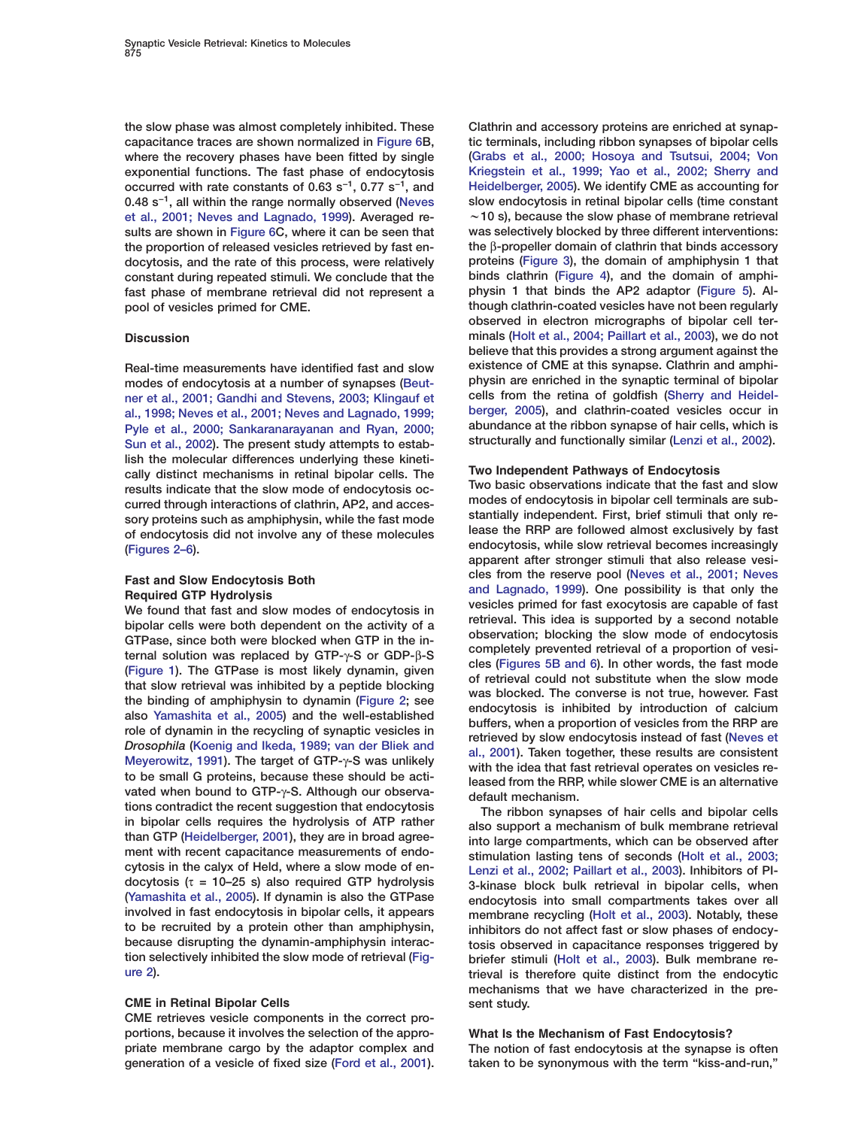**the slow phase was almost completely inhibited. These Clathrin and accessory proteins are enriched at synapcapacitance traces are shown normalized in [Figure 6](#page-5-0)B, tic terminals, including ribbon synapses of bipolar cells where the recovery phases have been fitted by single [\(Grabs et al., 2000; Hosoya and Tsutsui, 2004; Von](#page-8-0) exponential functions. The fast phase of endocytosis [Kriegstein et al., 1999; Yao et al., 2002; Sherry and](#page-8-0) occurred with rate constants of 0.63 s<sup>-1</sup>, 0.77 s<sup>-1</sup>, and [Heidelberger, 2005\)](#page-8-0). We identify CME as accounting for 0.48 s<sup>-1</sup>, all within the range normally observed [\(Neves](#page-9-0) slow endocytosis in retinal bipolar cells (time constant [et al., 2001; Neves and Lagnado, 1999\)](#page-9-0). Averaged re-** w**10 s), because the slow phase of membrane retrieval sults are shown in [Figure 6C](#page-5-0), where it can be seen that was selectively blocked by three different interventions: the proportion of released vesicles retrieved by fast en- the** β**-propeller domain of clathrin that binds accessory docytosis, and the rate of this process, were relatively proteins [\(Figure 3\)](#page-3-0), the domain of amphiphysin 1 that constant during repeated stimuli. We conclude that the binds clathrin [\(Figure 4\)](#page-4-0), and the domain of amphifast phase of membrane retrieval did not represent a physin 1 that binds the AP2 adaptor [\(Figure 5\)](#page-5-0). Alpool of vesicles primed for CME. though clathrin-coated vesicles have not been regularly**

**modes of endocytosis at a number of synapses [\(Beut-](#page-8-0) physin are enriched in the synaptic terminal of bipolar [ner et al., 2001; Gandhi and Stevens, 2003; Klingauf et](#page-8-0) cells from the retina of goldfish [\(Sherry and Heidel](#page-9-0)[al., 1998; Neves et al., 2001; Neves and Lagnado, 1999;](#page-8-0) [berger, 2005\)](#page-9-0), and clathrin-coated vesicles occur in [Pyle et al., 2000; Sankaranarayanan and Ryan, 2000;](#page-8-0) abundance at the ribbon synapse of hair cells, which is** [Sun et al., 2002](#page-8-0)). The present study attempts to estab**lish the molecular differences underlying these kineti- Two Independent Pathways of Endocytosis cally distinct mechanisms in retinal bipolar cells. The results indicate that the slow mode of endocytosis oc- Two basic observations indicate that the fast and slow**

tions contradict the recent suggestion that endocytosis<br>
in bipolar cells requires the hydrolysis of ATP rather<br>
than GTP [\(Heidelberger, 2001\)](#page-8-0), they are in broad agree-<br>
ment with recent capacitance measurements of endo-<br> **involved in fast endocytosis in bipolar cells, it appears membrane recycling [\(Holt et al., 2003\)](#page-8-0). Notably, these to be recruited by a protein other than amphiphysin, inhibitors do not affect fast or slow phases of endocytion selectively inhibited the slow mode of retrieval [\(Fig-](#page-2-0) briefer stimuli [\(Holt et al., 2003\)](#page-8-0). Bulk membrane re-**

## **CME in Retinal Bipolar Cells SEP 10 30 SEP 10 30 SEP 10 30 SEP 10 30 SEP 10 30 SEP 10 30 SEP 10 30 SEP 10 30 SEP 10 30 SEP 10 30 SEP 10 30 SEP 10 30 SEP 10 30 SEP 10 30 SEP 10 30 SEP 10 30 SEP 10 30 SEP 10 30 SEP 10 30**

**CME retrieves vesicle components in the correct proportions, because it involves the selection of the appro- What Is the Mechanism of Fast Endocytosis? priate membrane cargo by the adaptor complex and The notion of fast endocytosis at the synapse is often generation of a vesicle of fixed size [\(Ford et al., 2001\)](#page-8-0). taken to be synonymous with the term "kiss-and-run,"**

**observed in electron micrographs of bipolar cell ter-Discussion minals [\(Holt et al., 2004; Paillart et al., 2003\)](#page-8-0), we do not believe that this provides a strong argument against the Real-time measurements have identified fast and slow existence of CME at this synapse. Clathrin and amphi-**

curred through interactions of clathrin, AP2, and acces-<br>sory proteins such as amphiphysin, while the fast mode<br>of endocytosis did not involve any of these molecules<br>[\(Figures 2–6](#page-2-0)).<br>The startially independent. First, brief Fast and Slow Endocytosis Both and signado, 1999. One possiblity is that only the foural that fast and slow modes of endocytosis in an lagnado, 1999. One possibility is that only the foural that fast and bipolar cells wer

tosis observed in capacitance responses triggered by **[ure 2](#page-2-0)). trieval is therefore quite distinct from the endocytic mechanisms that we have characterized in the pre-**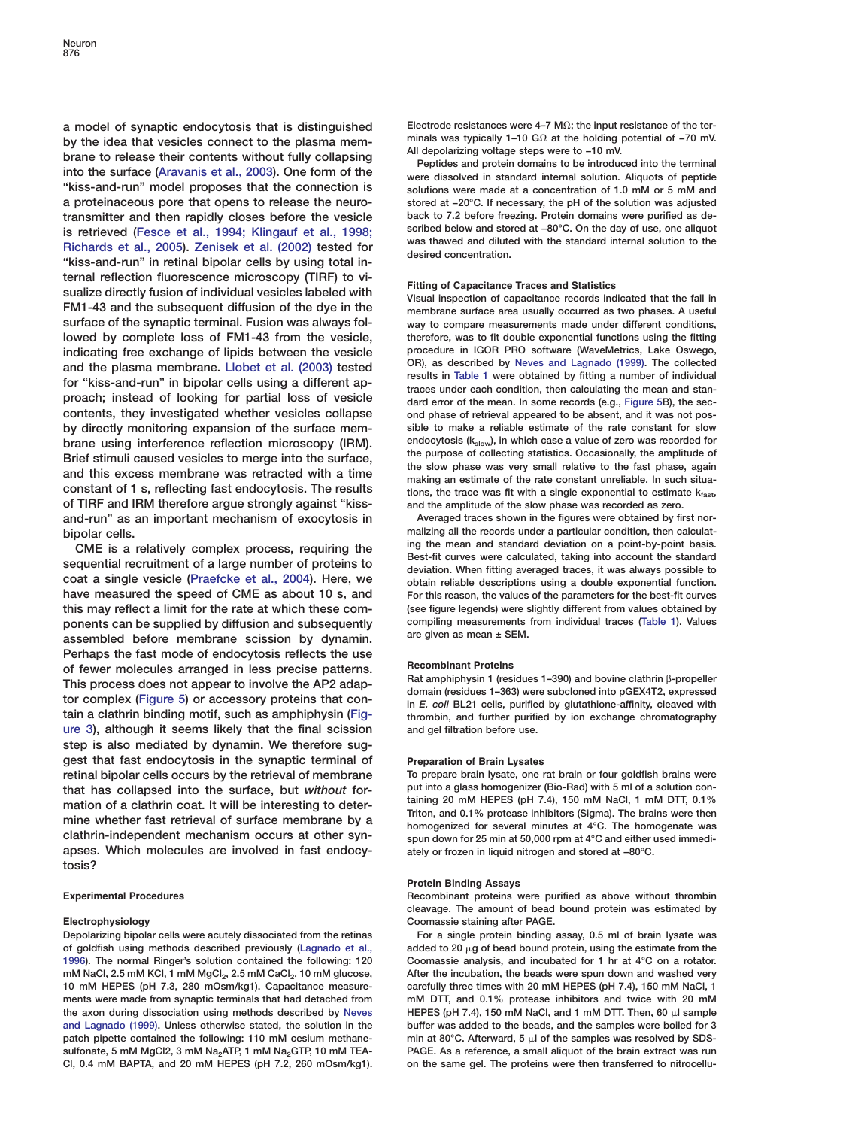by the idea that vesicles connect to the plasma mem-<br>brane to release their contents without fully collapsing<br>into the surface [\(Aravanis et al., 2003\)](#page-8-0). One form of the  $\frac{\text{m} \cdot \text{m}}{\text{Peptides} \cdot \text{m}}$  and protein domains to **"kiss-and-run" model proposes that the connection is solutions were made at a concentration of 1.0 mM or 5 mM and a proteinaceous pore that opens to release the neuro- stored at −20°C. If necessary, the pH of the solution was adjusted back to 7.2 before freezing. Protein domains were purified as de-**<br> **transmitter and then rapidly closes before the vesicle**<br> **back to 7.2 before freezing. Protein domains were purified as de-**<br> **back of the very set of t** is retrieved [\(Fesce et al., 1994; Klingauf et al., 1998;](#page-8-0)<br>[Richards et al., 2005\)](#page-8-0). [Zenisek et al. \(2002\)](#page-9-0) tested for was thawed and diluted with the standard internal solution to the<br>"kiss-and-run" in retinal bipolar cells by ternal reflection fluorescence microscopy (TIRF) to vi-<br>sualize directly fusion of individual vesicles labeled with<br>FM1-43 and the subsequent diffusion of the dye in the membrane surface area usually occurred as two phases **surface of the synaptic terminal. Fusion was always fol- way to compare measurements made under different conditions, lowed by complete loss of FM1-43 from the vesicle, therefore, was to fit double exponential functions using the fitting** indicating free exchange of lipids between the vesicle procedure in IGOR PRO software (WaveMetrics, Lake Oswego,<br>and the plasma membrane. Llobet et al. (2003) tested OR), as described by [Neves and Lagnado \(1999\).](#page-9-0) The colle for "kiss-and-run" in bipolar cells using a different ap-<br>proach; instead of looking for partial loss of vesicle<br>proach; instead of looking for partial loss of vesicle<br>dard error of the mean. In some records (e.g., Figure **contents, they investigated whether vesicles collapse ond phase of retrieval appeared to be absent, and it was not posby directly monitoring expansion of the surface mem- sible to make a reliable estimate of the rate constant for slow brane using interference reflection microscopy (IRM).** endocytosis (k<sub>slow</sub>), in which case a value of zero was recorded for<br>**Rright attenual caused vesicles to merge into the surface** the purpose of collecting statistics Brief stimuli caused vesicles to merge into the surface,<br>and this excess membrane was retracted with a time<br>constant of 1 s, reflecting fast endocytosis. The results<br>constant of 1 s, reflecting fast endocytosis. The resul **of TIRF and IRM therefore argue strongly against "kiss- and the amplitude of the slow phase was recorded as zero. and-run" as an important mechanism of exocytosis in Averaged traces shown in the figures were obtained by first nor-**

CME is a relatively complex process, requiring the<br>sequential recruitment of a large number of proteins to<br>coat a single vesicle [\(Praefcke et al., 2004\)](#page-9-0). Here, we<br>coat a single vesicle (Praefcke et al., 2004). Here, we<br>obt **have measured the speed of CME as about 10 s, and For this reason, the values of the parameters for the best-fit curves this may reflect a limit for the rate at which these com- (see figure legends) were slightly different from values obtained by ponents can be supplied by diffusion and subsequently compiling measurements from individual traces [\(Table 1\)](#page-3-0). Values** assembled before membrane scission by dynamin. **Perhaps the fast mode of endocytosis reflects the use** of fewer molecules arranged in less precise patterns.<br>
This process does not appear to involve the AP2 adap-<br>
tor complex [\(Figure 5\)](#page-5-0) or accessory proteins that con-<br>
tain a clathrin binding motif, such as amphiphysin (Fig**[ure 3\)](#page-3-0)**, although it seems likely that the final scission **step is also mediated by dynamin. We therefore suggest that fast endocytosis in the synaptic terminal of Preparation of Brain Lysates retinal bipolar cells occurs by the retrieval of membrane To prepare brain lysate, one rat brain or four goldfish brains were** that has collapsed into the surface, but without for-<br>mation of a clathrin coat It will be interesting to deter.<br>**That is a summand with the surface that interesting to deter.** taining 20 mM HEPES (pH 7.4), 150 mM NaCl, 1 mation of a clathrin coat. It will be interesting to deter-<br>mine whether fast retrieval of surface membrane by a<br>clathrin-independent mechanism occurs at other syn-<br>spun down for 25 min at 90,000 rpm at 4°C and either use **apses. Which molecules are involved in fast endocy- ately or frozen in liquid nitrogen and stored at −80°C. tosis?**

**Depolarizing bipolar cells were acutely dissociated from the retinas For a single protein binding assay, 0.5 ml of brain lysate was of goldfish using methods described previously [\(Lagnado et al.,](#page-8-0) added to 20 g of bead bound protein, using the estimate from the [1996\)](#page-8-0). The normal Ringer's solution contained the following: 120 Coomassie analysis, and incubated for 1 hr at 4°C on a rotator. mM NaCl, 2.5 mM KCl, 1 mM MgCl2, 2.5 mM CaCl2, 10 mM glucose, After the incubation, the beads were spun down and washed very 10 mM HEPES (pH 7.3, 280 mOsm/kg1). Capacitance measure- carefully three times with 20 mM HEPES (pH 7.4), 150 mM NaCl, 1 ments were made from synaptic terminals that had detached from mM DTT, and 0.1% protease inhibitors and twice with 20 mM the axon during dissociation using methods described by [Neves](#page-9-0) HEPES (pH 7.4), 150 mM NaCl, and 1 mM DTT. Then, 60 l sample [and Lagnado \(1999\)](#page-9-0). Unless otherwise stated, the solution in the buffer was added to the beads, and the samples were boiled for 3** patch pipette contained the following: 110 mM cesium methane- min at 80°C. Afterward, 5 ul of the samples was resolved by SDSsulfonate, 5 mM MgCl2, 3 mM Na<sub>2</sub>ATP, 1 mM Na<sub>2</sub>GTP, 10 mM TEA-<br>Cl, 0.4 mM BAPTA, and 20 mM HEPES (pH 7.2, 260 mOsm/kg1). on the same gel. The proteins were then transferred to nitrocellu-Cl, 0.4 mM BAPTA, and 20 mM HEPES (pH 7.2, 260 mOsm/kg1).

**a model of synaptic endocytosis that is distinguished** Electrode resistances were 4–7 M $\Omega$ ; the input resistance of the ter-<br>by the idea that vesicles connect to the plasma mem-<br>minals was typically 1–10 G $\Omega$  at the ho

**bipolar cells. https://educion.malizing all the records under a particular condition, then calculat-**<br>CME is a relatively complex process, requiring the stand the mean and standard deviation on a point-by-point basis.

thrombin, and further purified by ion exchange chromatography and gel filtration before use.

### **Protein Binding Assays**

**Experimental Procedures Recombinant proteins were purified as above without thrombin cleavage. The amount of bead bound protein was estimated by Electrophysiology Coomassie staining after PAGE.**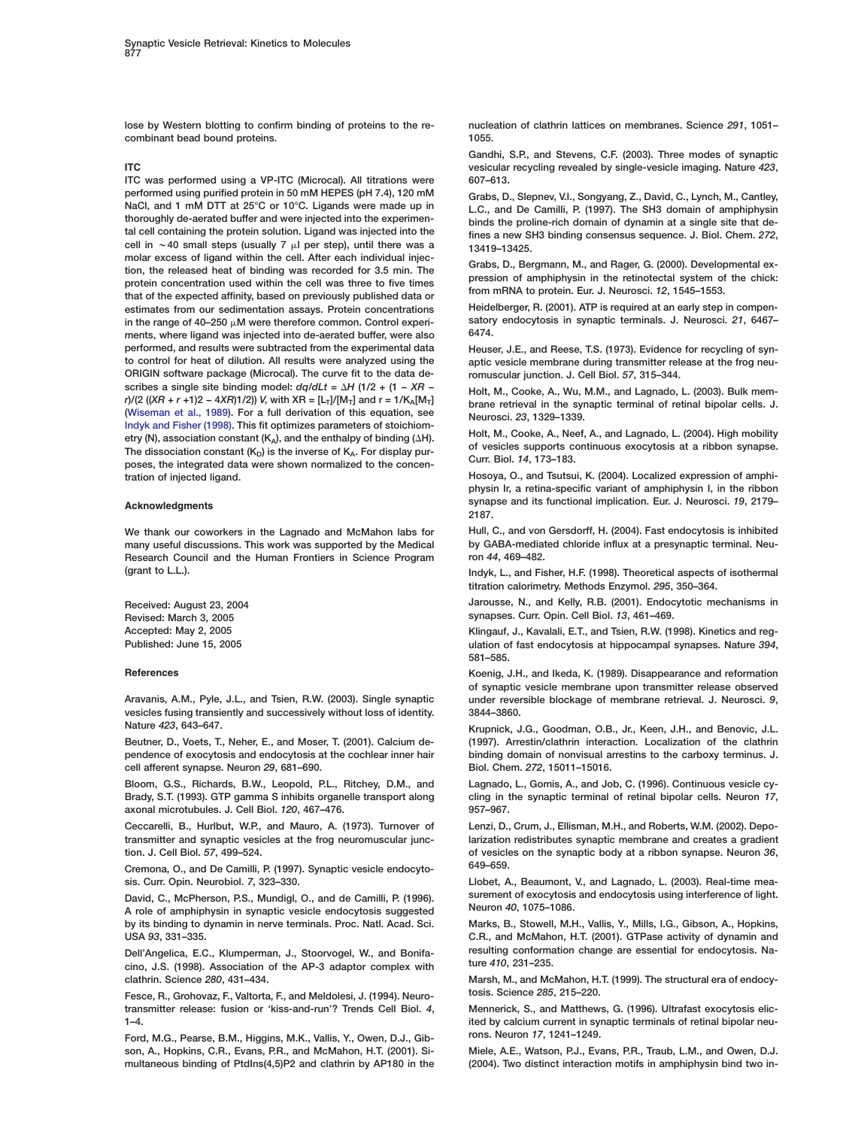<span id="page-8-0"></span>**lose by Western blotting to confirm binding of proteins to the re- nucleation of clathrin lattices on membranes. Science** *291***, 1051– combinant bead bound proteins. 1055.**

**ITC was performed using a VP-ITC (Microcal). All titrations were 607–613.** performed using purified protein in 50 mM HEPES (pH 7.4), 120 mM<br>
NaCl, and 1 mM DTT at 25°C or 10°C. Ligands were made up in<br>
thoroughly de-aerated buffer and were injected into the experimen-<br>
tal cell containing the pr molar excess on inguitar whilm the cell. Anter each intuitional injection, the released heat of binding was recorded for 3.5 min. The pression of amphiphysin in the retinotectal system of the chick:<br>protein concentration u estimates from our sedimentation assays. Protein concentrations Heidelberger, R. (2001). ATP is required at an early step in compen-<br>in the range of 40–250 uM were therefore common. Control experi-<br>satory endocytosis in sy in the range of 40–250  $\mu$ M were therefore common. Control experi-<br>monto where ligand was injected into de correted by for were also  $6474$ **ments, where ligand was injected into de-aerated buffer, were also 6474. performed, and results were subtracted from the experimental data Heuser, J.E., and Reese, T.S. (1973). Evidence for recycling of syn-ORIGIN software package (Microcal). The curve fit to the data de- romuscular junction. J. Cell Biol.** *57***, 315–344.** scribes a single site binding model:  $dq/dLt = \Delta H (1/2 + (1 - XR - r))$ scribes a single site binding model:  $dq/dLt = \Delta H (1/2 + (1 - \lambda H -$ <br>  $r/(2)(\lambda R + r + 1)2 - 4\lambda R)1/2)$  V, with  $XR = [L_T]/[M_T]$  and  $r = 1/K_A[M_T]$ <br> [\(Wiseman et al., 1989](#page-9-0)). For a full derivation of this equation, see<br>
(Wiseman et al., 1989). T The dissociation constant (K<sub>D</sub>) is the inverse of K<sub>A</sub>. For display pur-<br>poses, the integrated data were shown normalized to the concen-<br>poses, the integrated data were shown normalized to the concen-<br>Curr. Biol. 14, 173– **tration of injected ligand. Hosoya, O., and Tsutsui, K. (2004). Localized expression of amphi-**

**many useful discussions. This work was supported by the Medical by GABA-mediated chloride influx at a presynaptic terminal. Neu-Research Council and the Human Frontiers in Science Program ron** *44***, 469–482. (grant to L.L.). Indyk, L., and Fisher, H.F. (1998). Theoretical aspects of isothermal**

**vesicles fusing transiently and successively without loss of identity. 3844–3860. Nature** *423***, 643–647. Krupnick, J.G., Goodman, O.B., Jr., Keen, J.H., and Benovic, J.L.**

**pendence of exocytosis and endocytosis at the cochlear inner hair binding domain of nonvisual arrestins to the carboxy terminus. J. cell afferent synapse. Neuron** *29***, 681–690. Biol. Chem.** *272***, 15011–15016.**

**axonal microtubules. J. Cell Biol.** *120***, 467–476. 957–967.**

Ceccarelli, B., Hurlbut, W.P., and Mauro, A. (1973). Turnover of Lenzi, D., Crum, J., Ellisman, M.H., and Roberts, W.M. (2002). Depo-

**Cremona, O., and De Camilli, P. (1997). Synaptic vesicle endocyto- 649–659.**

A role of amphiphysin in synaptic vesicle endocytosis suggested **by its binding to dynamin in nerve terminals. Proc. Natl. Acad. Sci. Marks, B., Stowell, M.H., Vallis, Y., Mills, I.G., Gibson, A., Hopkins,**

cino, J.S. (1998). Association of the AP-3 adaptor complex with

**tosis. Science** *285***, 215–220. Fesce, R., Grohovaz, F., Valtorta, F., and Meldolesi, J. (1994). Neurotransmitter release: fusion or 'kiss-and-run'? Trends Cell Biol.** *4***, Mennerick, S., and Matthews, G. (1996). Ultrafast exocytosis elic-**

**rons. Neuron** *17***, 1241–1249. Ford, M.G., Pearse, B.M., Higgins, M.K., Vallis, Y., Owen, D.J., Gibson, A., Hopkins, C.R., Evans, P.R., and McMahon, H.T. (2001). Si- Miele, A.E., Watson, P.J., Evans, P.R., Traub, L.M., and Owen, D.J. multaneous binding of PtdIns(4,5)P2 and clathrin by AP180 in the (2004). Two distinct interaction motifs in amphiphysin bind two in-**

**Gandhi, S.P., and Stevens, C.F. (2003). Three modes of synaptic ITC vesicular recycling revealed by single-vesicle imaging. Nature** *423***,**

aptic vesicle membrane during transmitter release at the frog neu-

**physin Ir, a retina-specific variant of amphiphysin I, in the ribbon synapse and its functional implication. Eur. J. Neurosci.** *<sup>19</sup>***, 2179– Acknowledgments 2187.**

**We thank our coworkers in the Lagnado and McMahon labs for Hull, C., and von Gersdorff, H. (2004). Fast endocytosis is inhibited**

**titration calorimetry. Methods Enzymol.** *295***, 350–364.**

**Received: August 23, 2004 Jarousse, N., and Kelly, R.B. (2001). Endocytotic mechanisms in Revised: March 3, 2005 synapses. Curr. Opin. Cell Biol.** *13***, 461–469.**

**Accepted: May 2, 2005 Klingauf, J., Kavalali, E.T., and Tsien, R.W. (1998). Kinetics and reg-Published: June 15, 2005 ulation of fast endocytosis at hippocampal synapses. Nature** *394***, 581–585.**

**References Koenig, J.H., and Ikeda, K. (1989). Disappearance and reformation of synaptic vesicle membrane upon transmitter release observed Aravanis, A.M., Pyle, J.L., and Tsien, R.W. (2003). Single synaptic under reversible blockage of membrane retrieval. J. Neurosci.** *9***,**

**Beutner, D., Voets, T., Neher, E., and Moser, T. (2001). Calcium de- (1997). Arrestin/clathrin interaction. Localization of the clathrin**

**Bloom, G.S., Richards, B.W., Leopold, P.L., Ritchey, D.M., and Lagnado, L., Gomis, A., and Job, C. (1996). Continuous vesicle cy-Brady, S.T. (1993). GTP gamma S inhibits organelle transport along cling in the synaptic terminal of retinal bipolar cells. Neuron** *17***,**

**transmitter and synaptic vesicles at the frog neuromuscular junc- larization redistributes synaptic membrane and creates a gradient tion. J. Cell Biol.** *57***, 499–524. of vesicles on the synaptic body at a ribbon synapse. Neuron** *36***,**

**sis. Curr. Opin. Neurobiol.** *7***, 323–330. Llobet, A., Beaumont, V., and Lagnado, L. (2003). Real-time mea-David, C., McPherson, P.S., Mundigl, O., and de Camilli, P. (1996). surement of exocytosis and endocytosis using interference of light.**

**USA** *93***, 331–335. C.R., and McMahon, H.T. (2001). GTPase activity of dynamin and Dell'Angelica, E.C., Klumperman, J., Stoorvogel, W., and Bonifa- resulting conformation change are essential for endocytosis. Na-**

**clathrin. Science** *280***, 431–434. Marsh, M., and McMahon, H.T. (1999). The structural era of endocy-**

**1–4. ited by calcium current in synaptic terminals of retinal bipolar neu-**